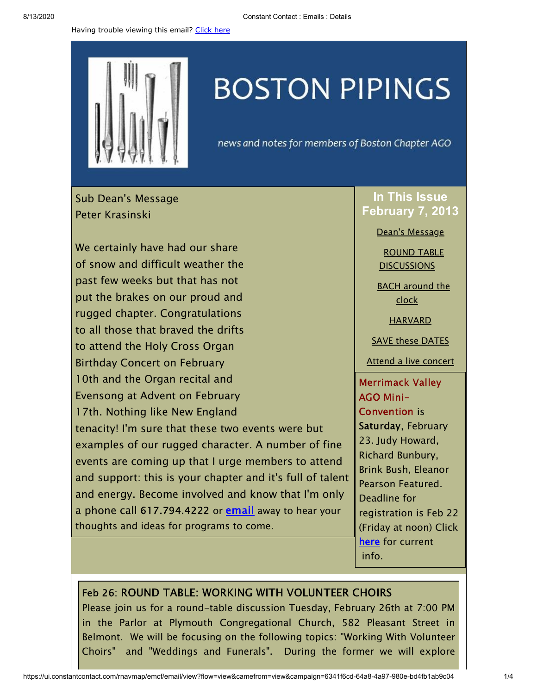Having trouble viewing this email? [Click](http://campaign.r20.constantcontact.com/render?preview=true&m=1105786651064&ca=96517c9a-3c4e-4441-9c6e-7192aac47a31&id=preview) here



## **BOSTON PIPINGS**

news and notes for members of Boston Chapter AGO

<span id="page-0-0"></span>Sub Dean's Message Peter Krasinski

We certainly have had our share of snow and difficult weather the past few weeks but that has not put the brakes on our proud and rugged chapter. Congratulations to all those that braved the drifts to attend the Holy Cross Organ Birthday Concert on February 10th and the Organ recital and Evensong at Advent on February 17th. Nothing like New England tenacity! I'm sure that these two events were but examples of our rugged character. A number of fine events are coming up that I urge members to attend and support: this is your chapter and it's full of talent and energy. Become involved and know that I'm only a phone call 617.794.4222 or **[email](mailto:peterkrasinski@icloud.com)** away to hear your thoughts and ideas for programs to come.

## **In This Issue February 7, 2013**

Dean's [Message](#page-0-0)

ROUND TABLE **[DISCUSSIONS](#page-0-1)** 

**BACH** [around](#page-1-0) the clock

**[HARVARD](#page-1-1)** 

SAVE these [DATES](#page-2-0)

Attend a live [concert](#page-2-1)

Merrimack Valley AGO Mini-Convention is Saturday, February 23. Judy Howard, Richard Bunbury, Brink Bush, Eleanor Pearson Featured. Deadline for registration is Feb 22 (Friday at noon) Click [here](http://library.constantcontact.com/doc208/1105786651064/doc/13dBNk01XuWXbXOZ.pdf) for current info.

## <span id="page-0-1"></span>Feb 26: ROUND TABLE: WORKING WITH VOLUNTEER CHOIRS

Please join us for a round-table discussion Tuesday, February 26th at 7:00 PM in the Parlor at Plymouth Congregational Church, 582 Pleasant Street in Belmont. We will be focusing on the following topics: "Working With Volunteer Choirs" and "Weddings and Funerals". During the former we will explore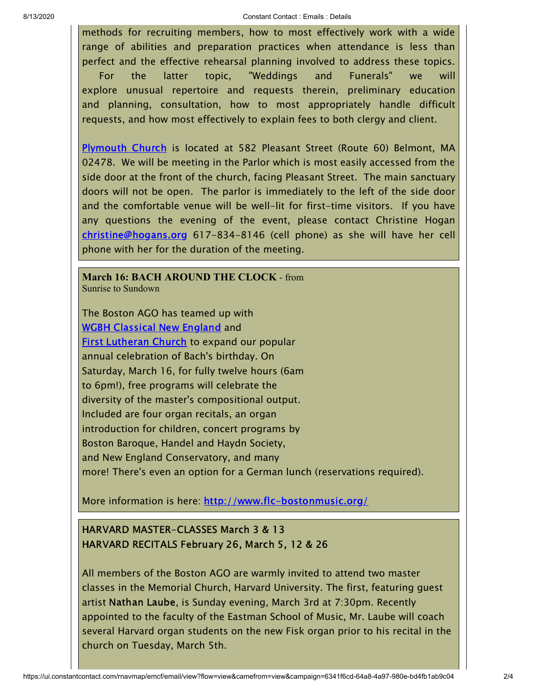## 8/13/2020 Constant Contact : Emails : Details

methods for recruiting members, how to most effectively work with a wide range of abilities and preparation practices when attendance is less than perfect and the effective rehearsal planning involved to address these topics. For the latter topic, "Weddings and Funerals" we will explore unusual repertoire and requests therein, preliminary education and planning, consultation, how to most appropriately handle difficult requests, and how most effectively to explain fees to both clergy and client.

[Plymouth](http://www.plymouthchurch.net/for-visitors) Church is located at 582 Pleasant Street (Route 60) Belmont, MA 02478. We will be meeting in the Parlor which is most easily accessed from the side door at the front of the church, facing Pleasant Street. The main sanctuary doors will not be open. The parlor is immediately to the left of the side door and the comfortable venue will be well-lit for first-time visitors. If you have any questions the evening of the event, please contact Christine Hogan [christine@hogans.org](mailto:christine@hogans.org) 617-834-8146 (cell phone) as she will have her cell phone with her for the duration of the meeting.

<span id="page-1-0"></span>**March 16: BACH AROUND THE CLOCK** - from Sunrise to Sundown

The Boston AGO has teamed up with WGBH [Classical](http://www.wgbh.org/995/index.cfm?MM=1) New England and **First [Lutheran](http://www.flc-bostonmusic.org/) Church** to expand our popular annual celebration of Bach's birthday. On Saturday, March 16, for fully twelve hours (6am to 6pm!), free programs will celebrate the diversity of the master's compositional output. Included are four organ recitals, an organ introduction for children, concert programs by Boston Baroque, Handel and Haydn Society, and New England Conservatory, and many more! There's even an option for a German lunch (reservations required).

More information is here: <http://www.flc-bostonmusic.org/>

<span id="page-1-1"></span>HARVARD MASTER-CLASSES March 3 & 13 HARVARD RECITALS February 26, March 5, 12 & 26

All members of the Boston AGO are warmly invited to attend two master classes in the Memorial Church, Harvard University. The first, featuring guest artist Nathan Laube, is Sunday evening, March 3rd at 7:30pm. Recently appointed to the faculty of the Eastman School of Music, Mr. Laube will coach several Harvard organ students on the new Fisk organ prior to his recital in the church on Tuesday, March 5th.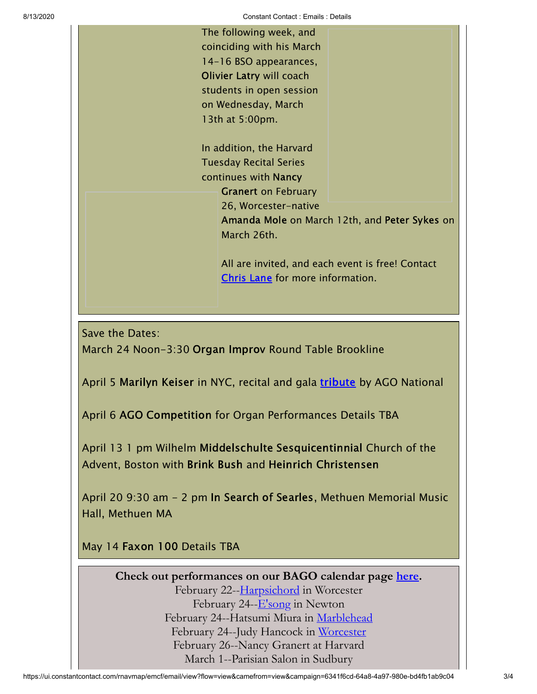8/13/2020 Constant Contact : Emails : Details

The following week, and coinciding with his March 14-16 BSO appearances, Olivier Latry will coach students in open session on Wednesday, March 13th at 5:00pm.

In addition, the Harvard Tuesday Recital Series continues with Nancy Granert on February 26, Worcester-native Amanda Mole on March 12th, and Peter Sykes on March 26th.

All are invited, and each event is free! Contact [Chris](mailto:christian_lane@harvard.edu) Lane for more information.

<span id="page-2-0"></span>Save the Dates:

March 24 Noon-3:30 Organ Improv Round Table Brookline

April 5 Marilyn Keiser in NYC, recital and gala [tribute](http://www.agohq.org/cgi-bin/cginews.pl?record=108) by AGO National

April 6 AGO Competition for Organ Performances Details TBA

April 13 1 pm Wilhelm Middelschulte Sesquicentinnial Church of the Advent, Boston with Brink Bush and Heinrich Christensen

April 20 9:30 am - 2 pm In Search of Searles, Methuen Memorial Music Hall, Methuen MA

<span id="page-2-1"></span>May 14 Faxon 100 Details TBA

**Check out performances on our BAGO calendar page [here.](http://www.bostonago.org/info/calendar/)** February 22--[Harpsichord](http://www.assumption.edu/humanarts) in Worcester February 24--<u>E'song</u> in Newton February 24--Hatsumi Miura in [Marblehead](http://www.stmichaels1714.org/worship_music_choir_recitalpro.htm#top) February 24--Judy Hancock in [Worcester](http://events.holycross.edu/events/index.php?com=detail&eID=6638) February 26--Nancy Granert at Harvard March 1--Parisian Salon in Sudbury